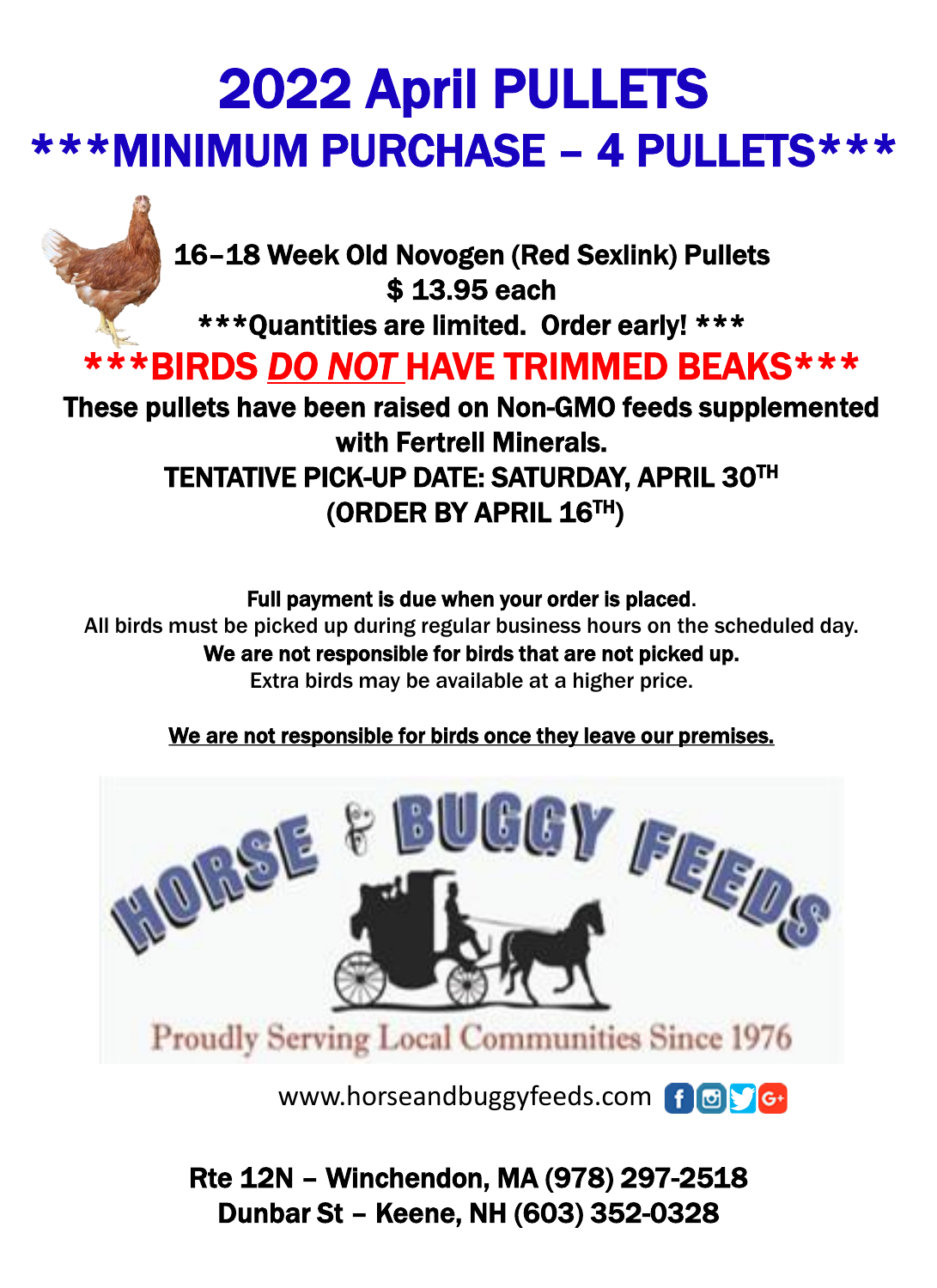# 2022 April PULLETS \*\*\*MINIMUM PURCHASE – 4 PULLETS\*\*\*



16–18 Week Old Novogen (Red Sexlink) Pullets \$ 13.95 each

\*\*\*Quantities are limited. Order early! \*\*\*

### \*\*\*BIRDS *DO NOT* HAVE TRIMMED BEAKS\*\*\*

These pullets have been raised on Non-GMO feeds supplemented with Fertrell Minerals. TENTATIVE PICK-UP DATE: SATURDAY, APRIL 30TH (ORDER BY APRIL 16TH)

#### Full payment is due when your order is placed.

All birds must be picked up during regular business hours on the scheduled day. We are not responsible for birds that are not picked up. Extra birds may be available at a higher price.

#### We are not responsible for birds once they leave our premises.



www.horseandbuggyfeeds.com f @ G-

Rte 12N – Winchendon, MA (978) 297-2518 Dunbar St – Keene, NH (603) 352-0328